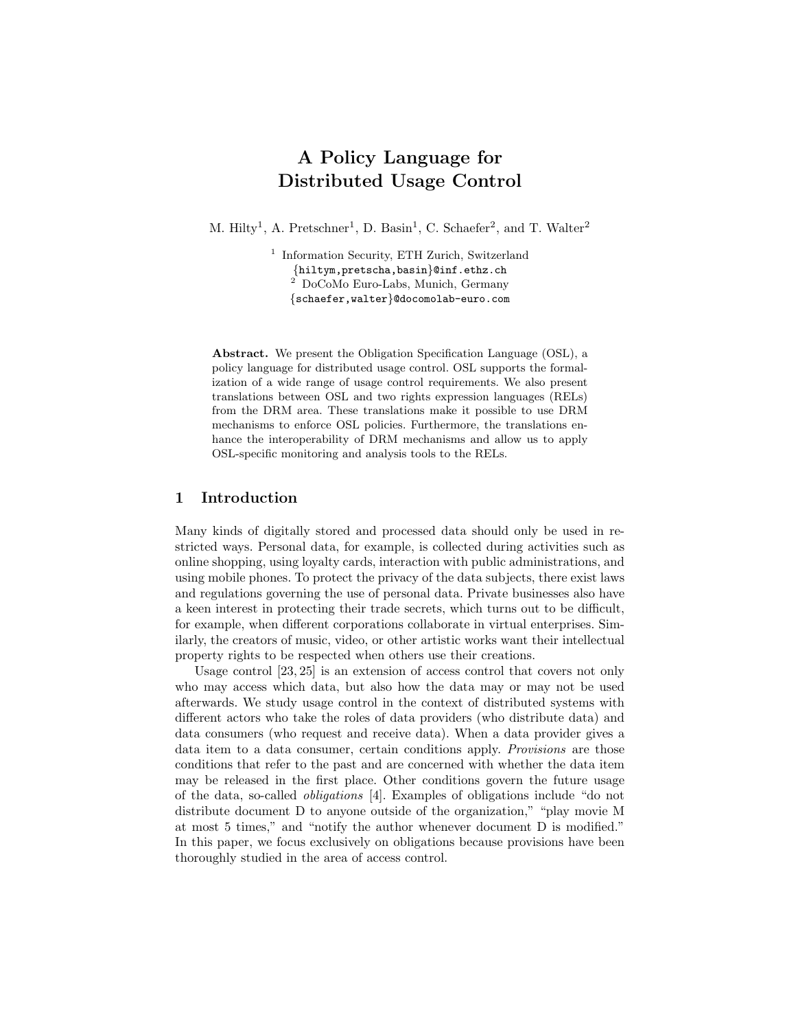# A Policy Language for Distributed Usage Control

M. Hilty<sup>1</sup>, A. Pretschner<sup>1</sup>, D. Basin<sup>1</sup>, C. Schaefer<sup>2</sup>, and T. Walter<sup>2</sup>

<sup>1</sup> Information Security, ETH Zurich, Switzerland {hiltym,pretscha,basin}@inf.ethz.ch <sup>2</sup> DoCoMo Euro-Labs, Munich, Germany {schaefer,walter}@docomolab-euro.com

Abstract. We present the Obligation Specification Language (OSL), a policy language for distributed usage control. OSL supports the formalization of a wide range of usage control requirements. We also present translations between OSL and two rights expression languages (RELs) from the DRM area. These translations make it possible to use DRM mechanisms to enforce OSL policies. Furthermore, the translations enhance the interoperability of DRM mechanisms and allow us to apply OSL-specific monitoring and analysis tools to the RELs.

# 1 Introduction

Many kinds of digitally stored and processed data should only be used in restricted ways. Personal data, for example, is collected during activities such as online shopping, using loyalty cards, interaction with public administrations, and using mobile phones. To protect the privacy of the data subjects, there exist laws and regulations governing the use of personal data. Private businesses also have a keen interest in protecting their trade secrets, which turns out to be difficult, for example, when different corporations collaborate in virtual enterprises. Similarly, the creators of music, video, or other artistic works want their intellectual property rights to be respected when others use their creations.

Usage control [23, 25] is an extension of access control that covers not only who may access which data, but also how the data may or may not be used afterwards. We study usage control in the context of distributed systems with different actors who take the roles of data providers (who distribute data) and data consumers (who request and receive data). When a data provider gives a data item to a data consumer, certain conditions apply. Provisions are those conditions that refer to the past and are concerned with whether the data item may be released in the first place. Other conditions govern the future usage of the data, so-called obligations [4]. Examples of obligations include "do not distribute document D to anyone outside of the organization," "play movie M at most 5 times," and "notify the author whenever document D is modified." In this paper, we focus exclusively on obligations because provisions have been thoroughly studied in the area of access control.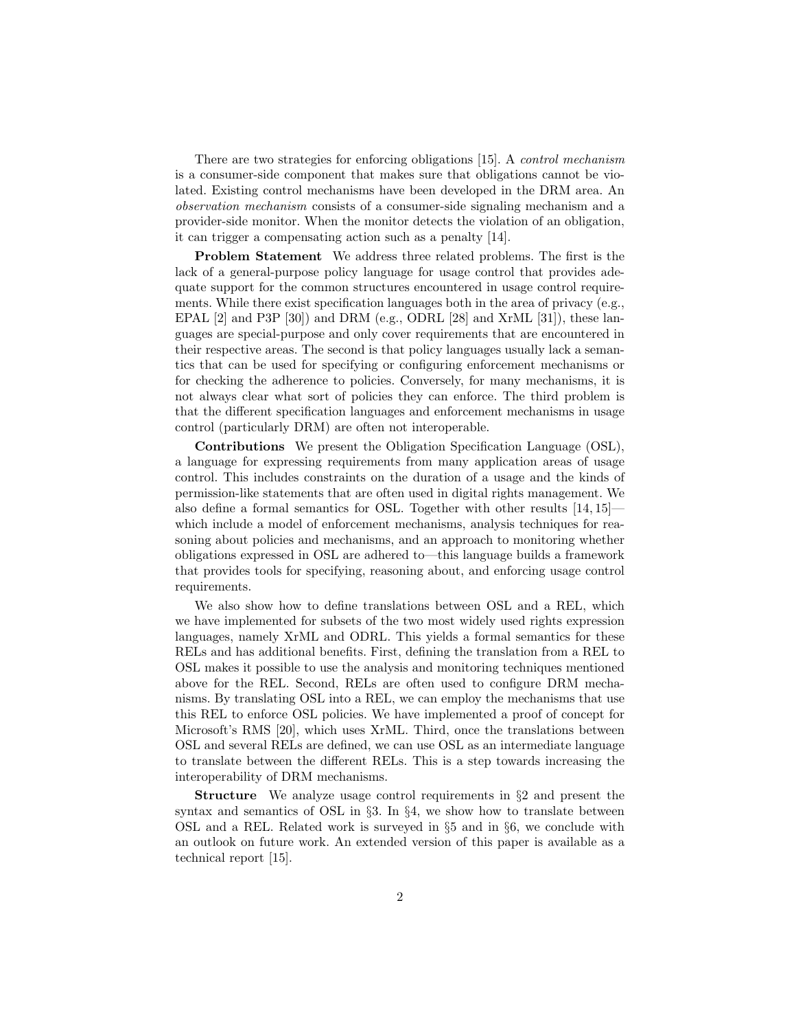There are two strategies for enforcing obligations [15]. A control mechanism is a consumer-side component that makes sure that obligations cannot be violated. Existing control mechanisms have been developed in the DRM area. An observation mechanism consists of a consumer-side signaling mechanism and a provider-side monitor. When the monitor detects the violation of an obligation, it can trigger a compensating action such as a penalty [14].

Problem Statement We address three related problems. The first is the lack of a general-purpose policy language for usage control that provides adequate support for the common structures encountered in usage control requirements. While there exist specification languages both in the area of privacy (e.g., EPAL  $[2]$  and P3P  $[30]$  and DRM (e.g., ODRL  $[28]$  and XrML  $[31]$ ), these languages are special-purpose and only cover requirements that are encountered in their respective areas. The second is that policy languages usually lack a semantics that can be used for specifying or configuring enforcement mechanisms or for checking the adherence to policies. Conversely, for many mechanisms, it is not always clear what sort of policies they can enforce. The third problem is that the different specification languages and enforcement mechanisms in usage control (particularly DRM) are often not interoperable.

Contributions We present the Obligation Specification Language (OSL), a language for expressing requirements from many application areas of usage control. This includes constraints on the duration of a usage and the kinds of permission-like statements that are often used in digital rights management. We also define a formal semantics for OSL. Together with other results [14, 15] which include a model of enforcement mechanisms, analysis techniques for reasoning about policies and mechanisms, and an approach to monitoring whether obligations expressed in OSL are adhered to—this language builds a framework that provides tools for specifying, reasoning about, and enforcing usage control requirements.

We also show how to define translations between OSL and a REL, which we have implemented for subsets of the two most widely used rights expression languages, namely XrML and ODRL. This yields a formal semantics for these RELs and has additional benefits. First, defining the translation from a REL to OSL makes it possible to use the analysis and monitoring techniques mentioned above for the REL. Second, RELs are often used to configure DRM mechanisms. By translating OSL into a REL, we can employ the mechanisms that use this REL to enforce OSL policies. We have implemented a proof of concept for Microsoft's RMS [20], which uses XrML. Third, once the translations between OSL and several RELs are defined, we can use OSL as an intermediate language to translate between the different RELs. This is a step towards increasing the interoperability of DRM mechanisms.

**Structure** We analyze usage control requirements in  $\S$ 2 and present the syntax and semantics of OSL in §3. In §4, we show how to translate between OSL and a REL. Related work is surveyed in §5 and in §6, we conclude with an outlook on future work. An extended version of this paper is available as a technical report [15].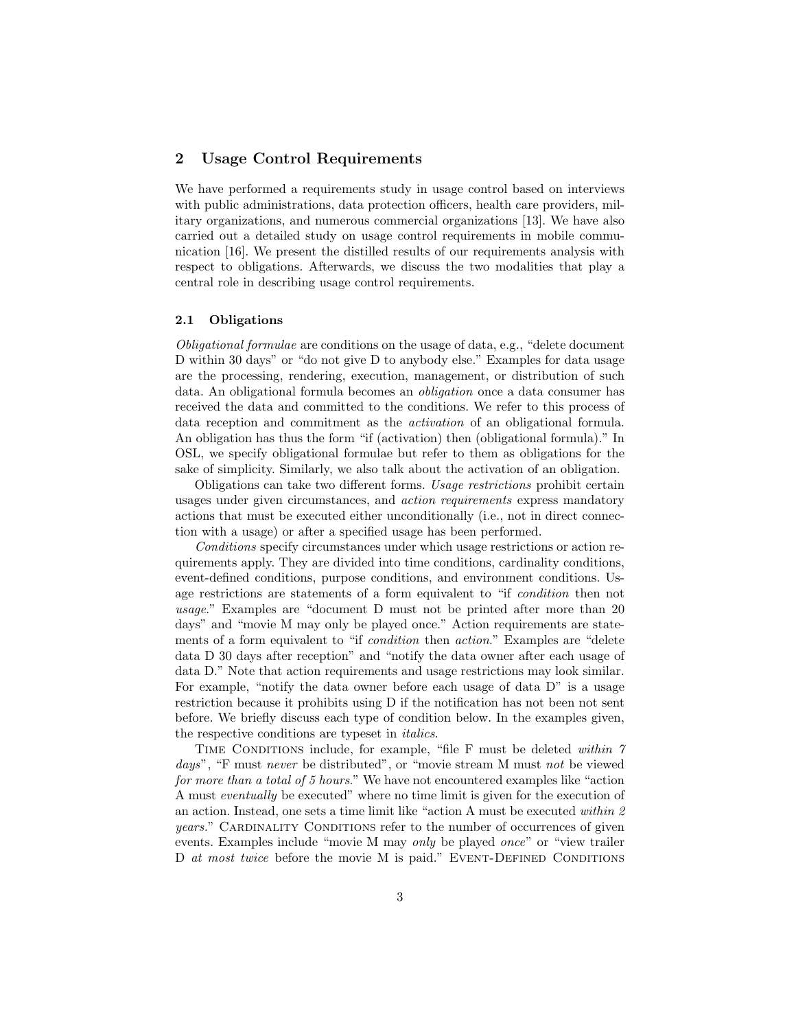## 2 Usage Control Requirements

We have performed a requirements study in usage control based on interviews with public administrations, data protection officers, health care providers, military organizations, and numerous commercial organizations [13]. We have also carried out a detailed study on usage control requirements in mobile communication [16]. We present the distilled results of our requirements analysis with respect to obligations. Afterwards, we discuss the two modalities that play a central role in describing usage control requirements.

## 2.1 Obligations

Obligational formulae are conditions on the usage of data, e.g., "delete document D within 30 days" or "do not give D to anybody else." Examples for data usage are the processing, rendering, execution, management, or distribution of such data. An obligational formula becomes an obligation once a data consumer has received the data and committed to the conditions. We refer to this process of data reception and commitment as the activation of an obligational formula. An obligation has thus the form "if (activation) then (obligational formula)." In OSL, we specify obligational formulae but refer to them as obligations for the sake of simplicity. Similarly, we also talk about the activation of an obligation.

Obligations can take two different forms. Usage restrictions prohibit certain usages under given circumstances, and action requirements express mandatory actions that must be executed either unconditionally (i.e., not in direct connection with a usage) or after a specified usage has been performed.

Conditions specify circumstances under which usage restrictions or action requirements apply. They are divided into time conditions, cardinality conditions, event-defined conditions, purpose conditions, and environment conditions. Usage restrictions are statements of a form equivalent to "if condition then not usage." Examples are "document D must not be printed after more than 20 days" and "movie M may only be played once." Action requirements are statements of a form equivalent to "if condition then action." Examples are "delete data D 30 days after reception" and "notify the data owner after each usage of data D." Note that action requirements and usage restrictions may look similar. For example, "notify the data owner before each usage of data D" is a usage restriction because it prohibits using D if the notification has not been not sent before. We briefly discuss each type of condition below. In the examples given, the respective conditions are typeset in italics.

TIME CONDITIONS include, for example, "file F must be deleted within 7 days", "F must never be distributed", or "movie stream M must not be viewed for more than a total of 5 hours." We have not encountered examples like "action" A must eventually be executed" where no time limit is given for the execution of an action. Instead, one sets a time limit like "action A must be executed within 2 years." CARDINALITY CONDITIONS refer to the number of occurrences of given events. Examples include "movie M may only be played once" or "view trailer D at most twice before the movie M is paid." EVENT-DEFINED CONDITIONS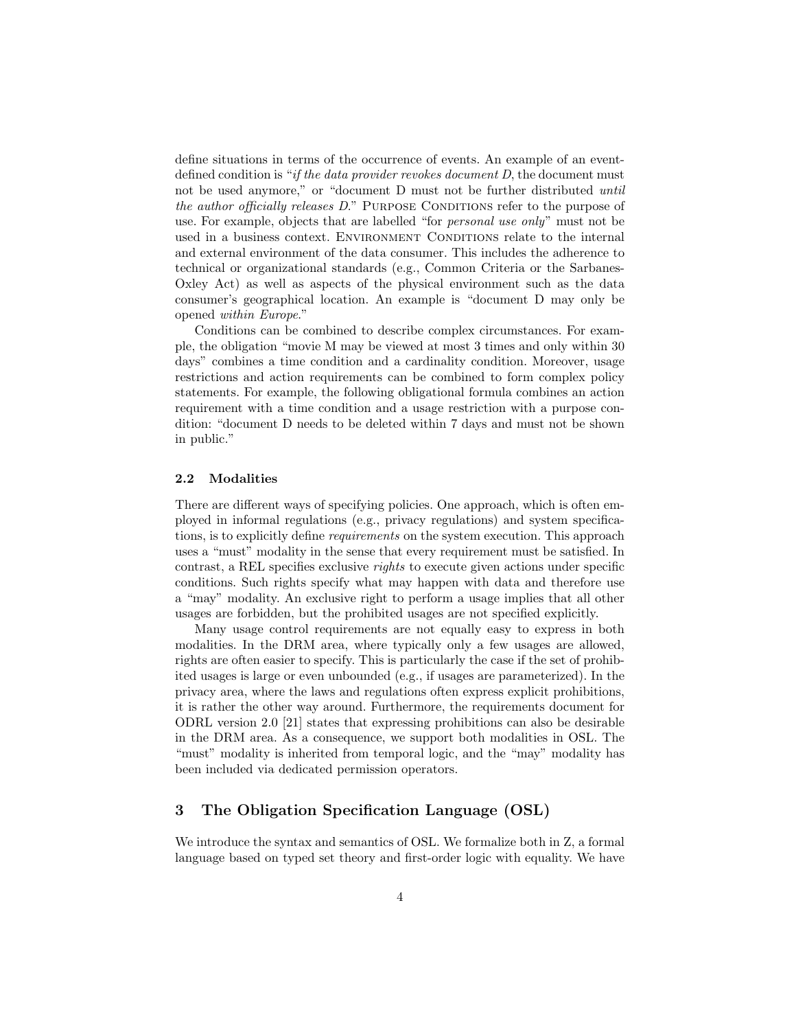define situations in terms of the occurrence of events. An example of an eventdefined condition is "*if the data provider revokes document D*, the document must not be used anymore," or "document D must not be further distributed until the author officially releases  $D$ ." PURPOSE CONDITIONS refer to the purpose of use. For example, objects that are labelled "for personal use only" must not be used in a business context. ENVIRONMENT CONDITIONS relate to the internal and external environment of the data consumer. This includes the adherence to technical or organizational standards (e.g., Common Criteria or the Sarbanes-Oxley Act) as well as aspects of the physical environment such as the data consumer's geographical location. An example is "document D may only be opened within Europe."

Conditions can be combined to describe complex circumstances. For example, the obligation "movie M may be viewed at most 3 times and only within 30 days" combines a time condition and a cardinality condition. Moreover, usage restrictions and action requirements can be combined to form complex policy statements. For example, the following obligational formula combines an action requirement with a time condition and a usage restriction with a purpose condition: "document D needs to be deleted within 7 days and must not be shown in public."

#### 2.2 Modalities

There are different ways of specifying policies. One approach, which is often employed in informal regulations (e.g., privacy regulations) and system specifications, is to explicitly define requirements on the system execution. This approach uses a "must" modality in the sense that every requirement must be satisfied. In contrast, a REL specifies exclusive rights to execute given actions under specific conditions. Such rights specify what may happen with data and therefore use a "may" modality. An exclusive right to perform a usage implies that all other usages are forbidden, but the prohibited usages are not specified explicitly.

Many usage control requirements are not equally easy to express in both modalities. In the DRM area, where typically only a few usages are allowed, rights are often easier to specify. This is particularly the case if the set of prohibited usages is large or even unbounded (e.g., if usages are parameterized). In the privacy area, where the laws and regulations often express explicit prohibitions, it is rather the other way around. Furthermore, the requirements document for ODRL version 2.0 [21] states that expressing prohibitions can also be desirable in the DRM area. As a consequence, we support both modalities in OSL. The "must" modality is inherited from temporal logic, and the "may" modality has been included via dedicated permission operators.

# 3 The Obligation Specification Language (OSL)

We introduce the syntax and semantics of OSL. We formalize both in Z, a formal language based on typed set theory and first-order logic with equality. We have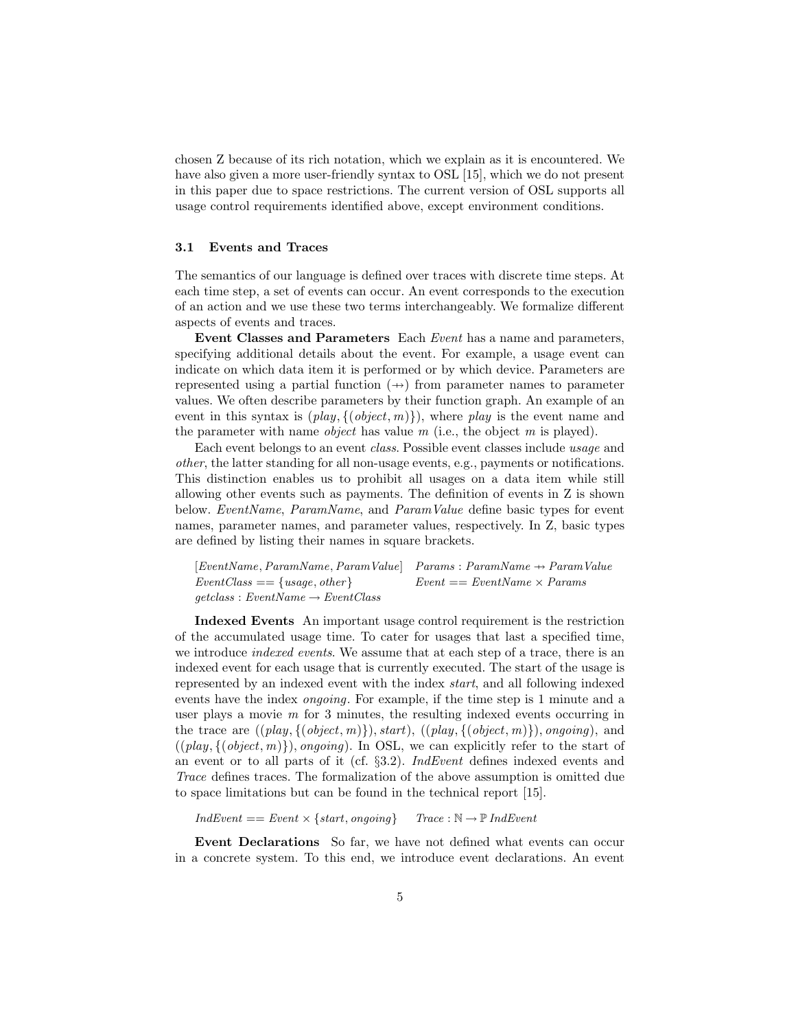chosen Z because of its rich notation, which we explain as it is encountered. We have also given a more user-friendly syntax to OSL [15], which we do not present in this paper due to space restrictions. The current version of OSL supports all usage control requirements identified above, except environment conditions.

## 3.1 Events and Traces

The semantics of our language is defined over traces with discrete time steps. At each time step, a set of events can occur. An event corresponds to the execution of an action and we use these two terms interchangeably. We formalize different aspects of events and traces.

Event Classes and Parameters Each Event has a name and parameters, specifying additional details about the event. For example, a usage event can indicate on which data item it is performed or by which device. Parameters are represented using a partial function  $( \rightarrow )$  from parameter names to parameter values. We often describe parameters by their function graph. An example of an event in this syntax is  $(\text{play}, \{(\text{object}, m)\})$ , where  $\text{play}$  is the event name and the parameter with name *object* has value  $m$  (i.e., the object  $m$  is played).

Each event belongs to an event class. Possible event classes include usage and other, the latter standing for all non-usage events, e.g., payments or notifications. This distinction enables us to prohibit all usages on a data item while still allowing other events such as payments. The definition of events in Z is shown below. EventName, ParamName, and ParamValue define basic types for event names, parameter names, and parameter values, respectively. In Z, basic types are defined by listing their names in square brackets.

 $[EventName, ParamName, ParamValue]$   $~Params : ParamName \rightarrow ParamValue$  $EventClass == \{usage, other\}$  $getclass: EventName \rightarrow EventClass$  $Event == EventName \times Parameters$ 

Indexed Events An important usage control requirement is the restriction of the accumulated usage time. To cater for usages that last a specified time, we introduce *indexed events*. We assume that at each step of a trace, there is an indexed event for each usage that is currently executed. The start of the usage is represented by an indexed event with the index start, and all following indexed events have the index ongoing. For example, if the time step is 1 minute and a user plays a movie  $m$  for 3 minutes, the resulting indexed events occurring in the trace are  $((play, {(object, m)}), start), ((play, {(object, m)}), ongoing), and$  $((play, {(object, m)}), ongoing in QSL, we can explicitly refer to the start of$ an event or to all parts of it (cf.  $\S 3.2$ ). IndEvent defines indexed events and Trace defines traces. The formalization of the above assumption is omitted due to space limitations but can be found in the technical report [15].

 $IndEvent == Event \times {start, ongoing}$  Trace :  $\mathbb{N} \rightarrow \mathbb{P}$  IndEvent

Event Declarations So far, we have not defined what events can occur in a concrete system. To this end, we introduce event declarations. An event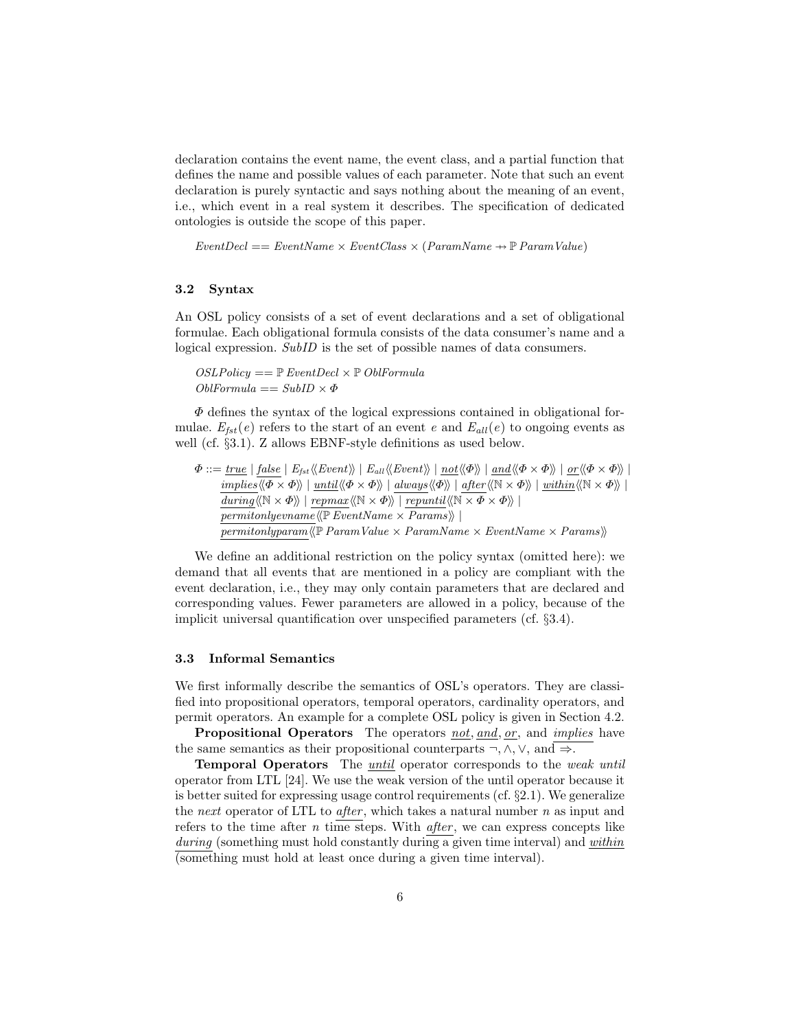declaration contains the event name, the event class, and a partial function that defines the name and possible values of each parameter. Note that such an event declaration is purely syntactic and says nothing about the meaning of an event, i.e., which event in a real system it describes. The specification of dedicated ontologies is outside the scope of this paper.

 $EventDecl == EventName \times EventClass \times (ParamName \rightarrow \mathbb{P}~ParamValue)$ 

## 3.2 Syntax

An OSL policy consists of a set of event declarations and a set of obligational formulae. Each obligational formula consists of the data consumer's name and a logical expression. SubID is the set of possible names of data consumers.

 $OSLPolicy == PEventDecl \times P OblFormula$  $OblFormula \n= SubID \times \Phi$ 

 $\Phi$  defines the syntax of the logical expressions contained in obligational formulae.  $E_{fst}(e)$  refers to the start of an event e and  $E_{all}(e)$  to ongoing events as well (cf. §3.1). Z allows EBNF-style definitions as used below.

$$
\Phi ::= \underline{true} \mid \underline{false} \mid E_{fst} \langle \underline{Event} \rangle \rangle \mid E_{all} \langle \underline{Event} \rangle \rangle \mid \underline{not} \langle \Phi \rangle \rangle \mid \underline{and} \langle \Phi \times \Phi \rangle \rangle \mid \underline{or} \langle \Phi \times \Phi \rangle \rangle
$$
\n
$$
= \underline{implies} \langle \Phi \times \Phi \rangle \mid \underline{until} \langle \Phi \times \Phi \rangle \rangle \mid \underline{always} \langle \Phi \rangle \mid \underline{after} \langle \langle \mathbb{N} \times \Phi \rangle \rangle \mid \underline{within} \langle \langle \mathbb{N} \times \Phi \rangle \rangle \mid
$$
\n
$$
= \underline{during} \langle \mathbb{N} \times \Phi \rangle \mid \underline{remax} \langle \langle \mathbb{N} \times \Phi \rangle \rangle \mid \underline{repuntil} \langle \langle \mathbb{N} \times \Phi \times \Phi \rangle \rangle \mid
$$
\n
$$
= \underline{permit onlyername} \langle \langle \mathbb{P} \underline{EventName} \times \underline{Param} \rangle \rangle \mid
$$
\n
$$
= \underline{permit onlyername} \langle \langle \mathbb{P} \underline{Frame Value} \times \underline{ParamName} \times \underline{EventName} \times \underline{Parameters} \rangle \rangle
$$

We define an additional restriction on the policy syntax (omitted here): we demand that all events that are mentioned in a policy are compliant with the event declaration, i.e., they may only contain parameters that are declared and corresponding values. Fewer parameters are allowed in a policy, because of the implicit universal quantification over unspecified parameters (cf. §3.4).

#### 3.3 Informal Semantics

We first informally describe the semantics of OSL's operators. They are classified into propositional operators, temporal operators, cardinality operators, and permit operators. An example for a complete OSL policy is given in Section 4.2.

**Propositional Operators** The operators <u>not, and, or</u>, and *implies* have the same semantics as their propositional counterparts  $\neg, \wedge, \vee,$  and  $\Rightarrow$ .

Temporal Operators The *until* operator corresponds to the weak until operator from LTL [24]. We use the weak version of the until operator because it is better suited for expressing usage control requirements (cf.  $\S 2.1$ ). We generalize the next operator of LTL to after, which takes a natural number  $n$  as input and refers to the time after  $n$  time steps. With *after*, we can express concepts like during (something must hold constantly during a given time interval) and within (something must hold at least once during a given time interval).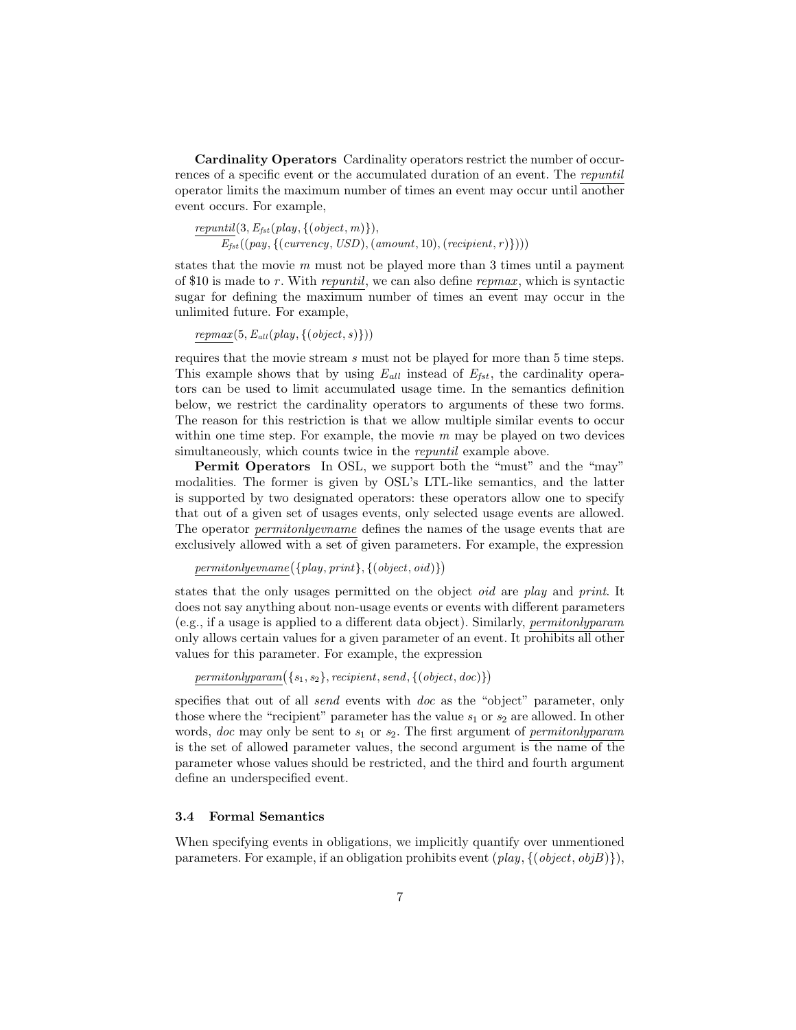Cardinality Operators Cardinality operators restrict the number of occurrences of a specific event or the accumulated duration of an event. The repuntil operator limits the maximum number of times an event may occur until another event occurs. For example,

 $repuntil(3, E_{fst}(play, \{(object, m)\}),$  $E_{fst}((pay, {(currency, USD), (amount, 10), (recipient, r)})))$ 

states that the movie  $m$  must not be played more than 3 times until a payment of \$10 is made to r. With repuntil, we can also define repmax, which is syntactic sugar for defining the maximum number of times an event may occur in the unlimited future. For example,

```
repmax(5, E_{all}(play, \{(object, s)\}))
```
requires that the movie stream s must not be played for more than 5 time steps. This example shows that by using  $E_{all}$  instead of  $E_{fst}$ , the cardinality operators can be used to limit accumulated usage time. In the semantics definition below, we restrict the cardinality operators to arguments of these two forms. The reason for this restriction is that we allow multiple similar events to occur within one time step. For example, the movie  $m$  may be played on two devices simultaneously, which counts twice in the *repuntil* example above.

Permit Operators In OSL, we support both the "must" and the "may" modalities. The former is given by OSL's LTL-like semantics, and the latter is supported by two designated operators: these operators allow one to specify that out of a given set of usages events, only selected usage events are allowed. The operator permitonlyevname defines the names of the usage events that are exclusively allowed with a set of given parameters. For example, the expression

```
permit only evname({\{play, print\}, \{(object,oid)\})})
```
states that the only usages permitted on the object *oid* are *play* and *print*. It does not say anything about non-usage events or events with different parameters (e.g., if a usage is applied to a different data object). Similarly, permitonlyparam only allows certain values for a given parameter of an event. It prohibits all other values for this parameter. For example, the expression

 $permit only param({s<sub>1</sub>, s<sub>2</sub>}, recipient, send, {(object, doc)} )$ 

specifies that out of all *send* events with *doc* as the "object" parameter, only those where the "recipient" parameter has the value  $s_1$  or  $s_2$  are allowed. In other words, doc may only be sent to  $s_1$  or  $s_2$ . The first argument of *permitonlyparam* is the set of allowed parameter values, the second argument is the name of the parameter whose values should be restricted, and the third and fourth argument define an underspecified event.

#### 3.4 Formal Semantics

When specifying events in obligations, we implicitly quantify over unmentioned parameters. For example, if an obligation prohibits event  $(\text{play}, \{(\text{object}, \text{objB})\}),$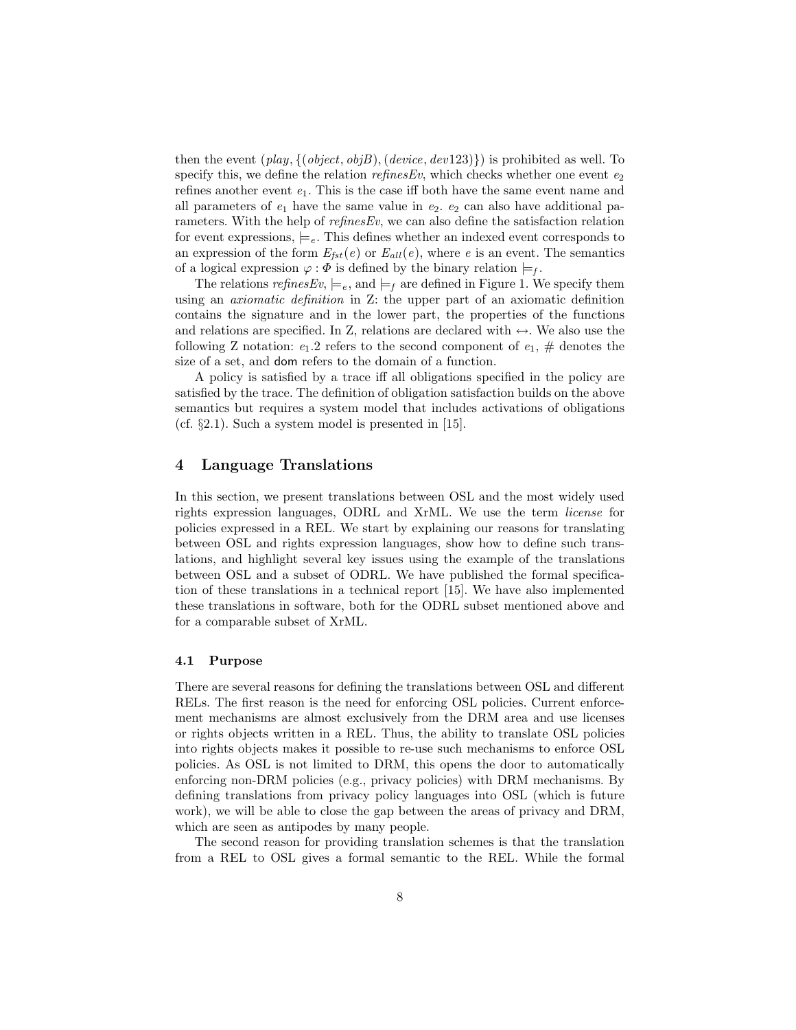then the event  $(\text{play}, \{(\text{object}, \text{objB}), (\text{device}, \text{dev123})\})$  is prohibited as well. To specify this, we define the relation refines Ev, which checks whether one event  $e_2$ refines another event  $e_1$ . This is the case iff both have the same event name and all parameters of  $e_1$  have the same value in  $e_2$ .  $e_2$  can also have additional parameters. With the help of refinesEv, we can also define the satisfaction relation for event expressions,  $\models_e$ . This defines whether an indexed event corresponds to an expression of the form  $E_{fst}(e)$  or  $E_{all}(e)$ , where e is an event. The semantics of a logical expression  $\varphi : \Phi$  is defined by the binary relation  $\models_f$ .

The relations  $refinesEv$ ,  $\models_e$ , and  $\models_f$  are defined in Figure 1. We specify them using an axiomatic definition in Z: the upper part of an axiomatic definition contains the signature and in the lower part, the properties of the functions and relations are specified. In Z, relations are declared with  $\leftrightarrow$ . We also use the following Z notation:  $e_1 \cdot 2$  refers to the second component of  $e_1, \#$  denotes the size of a set, and dom refers to the domain of a function.

A policy is satisfied by a trace iff all obligations specified in the policy are satisfied by the trace. The definition of obligation satisfaction builds on the above semantics but requires a system model that includes activations of obligations (cf. §2.1). Such a system model is presented in [15].

# 4 Language Translations

In this section, we present translations between OSL and the most widely used rights expression languages, ODRL and XrML. We use the term license for policies expressed in a REL. We start by explaining our reasons for translating between OSL and rights expression languages, show how to define such translations, and highlight several key issues using the example of the translations between OSL and a subset of ODRL. We have published the formal specification of these translations in a technical report [15]. We have also implemented these translations in software, both for the ODRL subset mentioned above and for a comparable subset of XrML.

#### 4.1 Purpose

There are several reasons for defining the translations between OSL and different RELs. The first reason is the need for enforcing OSL policies. Current enforcement mechanisms are almost exclusively from the DRM area and use licenses or rights objects written in a REL. Thus, the ability to translate OSL policies into rights objects makes it possible to re-use such mechanisms to enforce OSL policies. As OSL is not limited to DRM, this opens the door to automatically enforcing non-DRM policies (e.g., privacy policies) with DRM mechanisms. By defining translations from privacy policy languages into OSL (which is future work), we will be able to close the gap between the areas of privacy and DRM, which are seen as antipodes by many people.

The second reason for providing translation schemes is that the translation from a REL to OSL gives a formal semantic to the REL. While the formal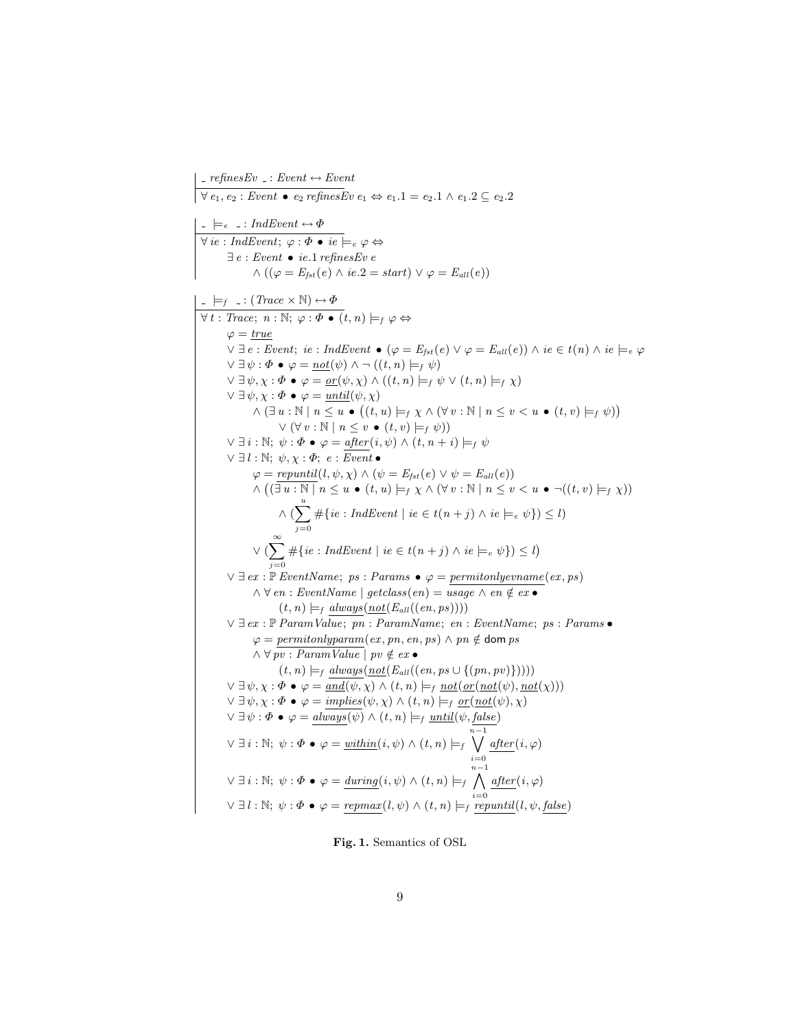$\vert$  \_ refinesEv \_ : Event  $\leftrightarrow$  Event  $\sqrt{\forall e_1, e_2 : Event \bullet e_2 \text{ refines} E}$ v  $e_1 \Leftrightarrow e_1.1 = e_2.1 \land e_1.2 \subseteq e_2.2$  $=$   $\models$ <sub>e</sub>  $=$  : IndEvent  $\leftrightarrow$   $\Phi$  $\forall$  ie : IndEvent;  $\varphi : \Phi \bullet ie \models_e \varphi \Leftrightarrow$  $\exists e : Event \bullet ie.1$  refinesEv e  $\wedge ((\varphi = E_{\text{fst}}(e) \wedge ie.2 = start) \vee \varphi = E_{\text{all}}(e))$  $= \models_f \dots (Trace \times \mathbb{N}) \leftrightarrow \Phi$  $\forall t : Trace; n : \mathbb{N}; \varphi : \Phi \bullet (t, n) \models_f \varphi \Leftrightarrow$  $\varphi = \underline{true}$  $\vee \exists e : Event; ie : IndEvent \bullet (\varphi = E_{fst}(e) \vee \varphi = E_{all}(e)) \wedge ie \in t(n) \wedge ie \models_e \varphi$  $\vee \exists \psi : \Phi \bullet \varphi = \underline{not}(\psi) \land \neg ((t, n) \models_f \psi)$  $\vee \exists \psi, \chi : \Phi \bullet \varphi = \underline{\mathit{or}}(\psi, \chi) \wedge ((t, n) \models_f \psi \vee (t, n) \models_f \chi)$  $\vee \exists \psi, \chi : \Phi \bullet \varphi = \text{until}(\psi, \chi)$  $\wedge (\exists u : \mathbb{N} \mid n \le u \bullet ((t, u) \models_f \chi \wedge (\forall v : \mathbb{N} \mid n \le v < u \bullet (t, v) \models_f \psi))$  $\vee (\forall v : \mathbb{N} \mid n \leq v \bullet (t, v) \models_f \psi)$  $\vee \exists i : \mathbb{N}; \ \psi : \Phi \bullet \varphi = after(i, \psi) \wedge (t, n + i) \models_f \psi$  $\vee \exists l : \mathbb{N}; \psi, \chi : \Phi; e : \overline{Event} \bullet$  $\varphi = \text{repuntil}(l, \psi, \chi) \wedge (\psi = E_{\text{fst}}(e) \vee \psi = E_{\text{all}}(e))$  $\wedge ((\overline{\exists u : \mathbb{N} \mid n \leq u \bullet (t, u) \models_f \chi \wedge (\forall v : \mathbb{N} \mid n \leq v < u \bullet \neg ((t, v) \models_f \chi))$  $\wedge$   $\overline{\left( \sum_{i=1}^{n} a_i \right)}$  $j=0$  $\#\{ie: IndEvent \mid ie \in t(n+j) \land ie \models_e \psi\}) \leq l$  $\vee$  ( $\sum_{n=1}^{\infty}$  $j=0$  $\#\{ie : \textit{IndEvent} \mid ie \in t(n+j) \land ie \models_e \psi\}) \leq l$  $\vee \exists \mathit{ex} : \mathbb{P} \mathit{EventName}; \mathit{ps} : \mathit{Parameters} \bullet \varphi = \mathit{permit only} \mathit{evname}(\mathit{ex}, \mathit{ps})$  $\land \forall en : EventName \mid getclass(en) = usage \land en \notin ex \bullet$  $(t, n) \models_f \text{always}(\text{not}(E_{all}((en, ps))))$  $\vee \exists ex : \mathbb{P}$  ParamValue; pn : ParamName; en : EventName; ps : Params  $\varphi = permitonly param(ex, pn, en, ps) \wedge pn \notin \text{dom } ps$  $\wedge \forall pv : ParamValue \mid pv \notin ex \bullet$  $(t, n) \models_f \text{always}(\text{not}(E_{\text{all}}((en, ps \cup \{(pn, pv)\}))))$  $\vee \exists \psi, \chi : \Phi \bullet \varphi = \underline{and}(\psi, \chi) \wedge (t, n) \models_f \underline{not}(\underline{or}(\underline{not}(\psi), \underline{not}(\chi)))$  $\vee \exists \psi, \chi : \Phi \bullet \varphi = implies(\psi, \chi) \wedge (t, n) \models_f \underline{or}( \underline{not}(\psi), \chi)$  $\vee \exists \psi : \Phi \bullet \varphi = always(\psi) \wedge (t, n) \models_f \underline{until}(\psi, false)$  $\vee \exists i : \mathbb{N}; \ \psi : \Phi \bullet \varphi = \text{within}(i, \psi) \land (t, n) \models_f \bigvee^{n-1}$  $i=0$  $after(i, \varphi)$  $\vee \exists i : \mathbb{N}; \; \psi : \varPhi \bullet \varphi = \mathit{during}(i, \psi) \land (t, n) \models_f \bigwedge^{n-1}$  $i=0$  $after(i, \varphi)$  $\vee$  ∃  $l$  : N;  $\psi$  :  $\Phi \bullet \varphi = \text{repmar}(l, \psi) \wedge (t, n) \models_f \text{repmtil}(l, \psi, \text{false})$ 

Fig. 1. Semantics of OSL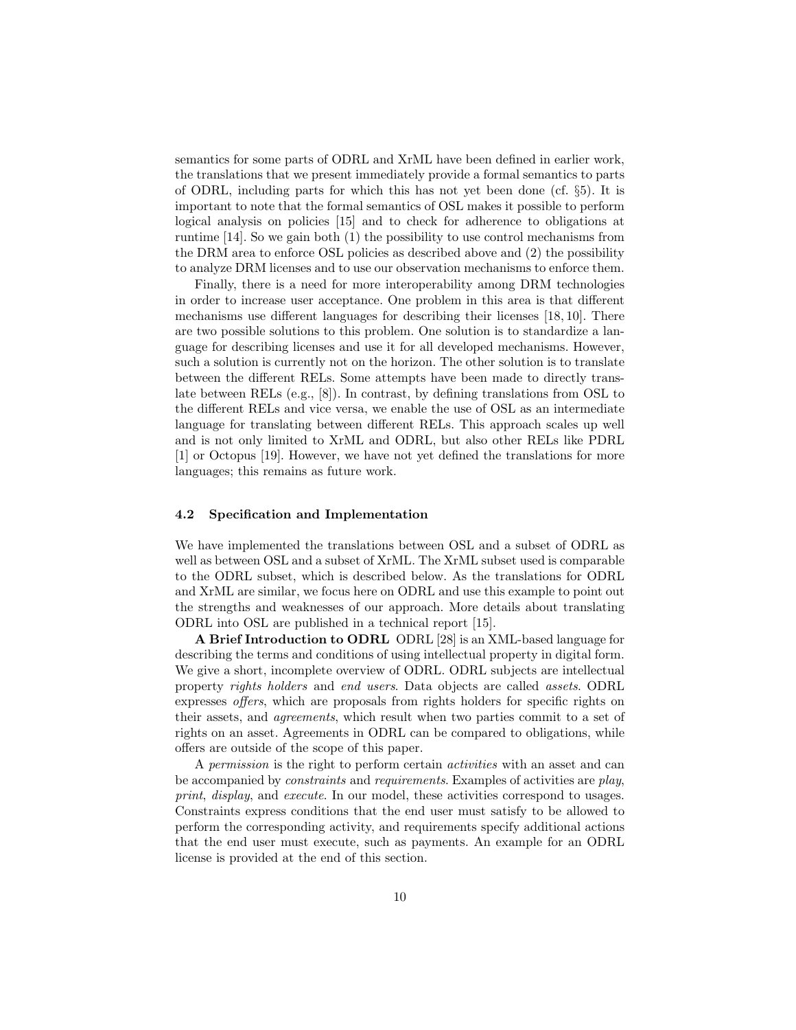semantics for some parts of ODRL and XrML have been defined in earlier work, the translations that we present immediately provide a formal semantics to parts of ODRL, including parts for which this has not yet been done (cf. §5). It is important to note that the formal semantics of OSL makes it possible to perform logical analysis on policies [15] and to check for adherence to obligations at runtime [14]. So we gain both (1) the possibility to use control mechanisms from the DRM area to enforce OSL policies as described above and (2) the possibility to analyze DRM licenses and to use our observation mechanisms to enforce them.

Finally, there is a need for more interoperability among DRM technologies in order to increase user acceptance. One problem in this area is that different mechanisms use different languages for describing their licenses [18, 10]. There are two possible solutions to this problem. One solution is to standardize a language for describing licenses and use it for all developed mechanisms. However, such a solution is currently not on the horizon. The other solution is to translate between the different RELs. Some attempts have been made to directly translate between RELs (e.g., [8]). In contrast, by defining translations from OSL to the different RELs and vice versa, we enable the use of OSL as an intermediate language for translating between different RELs. This approach scales up well and is not only limited to XrML and ODRL, but also other RELs like PDRL [1] or Octopus [19]. However, we have not yet defined the translations for more languages; this remains as future work.

#### 4.2 Specification and Implementation

We have implemented the translations between OSL and a subset of ODRL as well as between OSL and a subset of XrML. The XrML subset used is comparable to the ODRL subset, which is described below. As the translations for ODRL and XrML are similar, we focus here on ODRL and use this example to point out the strengths and weaknesses of our approach. More details about translating ODRL into OSL are published in a technical report [15].

A Brief Introduction to ODRL ODRL [28] is an XML-based language for describing the terms and conditions of using intellectual property in digital form. We give a short, incomplete overview of ODRL. ODRL subjects are intellectual property rights holders and end users. Data objects are called assets. ODRL expresses offers, which are proposals from rights holders for specific rights on their assets, and agreements, which result when two parties commit to a set of rights on an asset. Agreements in ODRL can be compared to obligations, while offers are outside of the scope of this paper.

A permission is the right to perform certain activities with an asset and can be accompanied by constraints and requirements. Examples of activities are play, print, display, and execute. In our model, these activities correspond to usages. Constraints express conditions that the end user must satisfy to be allowed to perform the corresponding activity, and requirements specify additional actions that the end user must execute, such as payments. An example for an ODRL license is provided at the end of this section.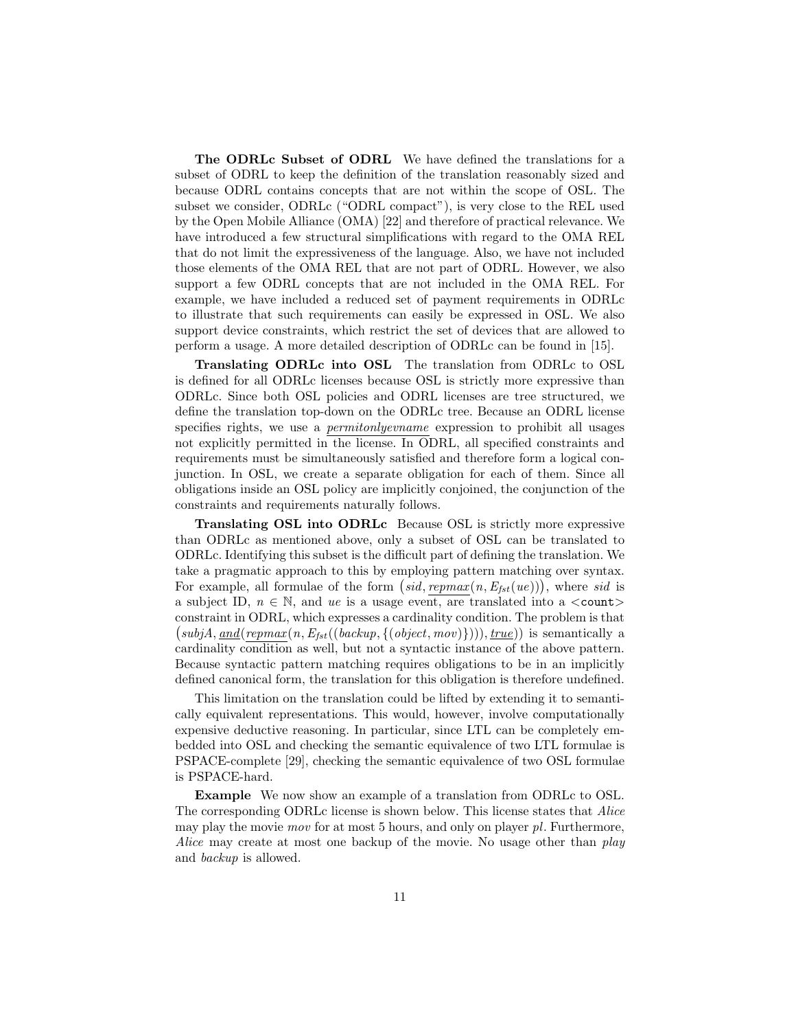The ODRLc Subset of ODRL We have defined the translations for a subset of ODRL to keep the definition of the translation reasonably sized and because ODRL contains concepts that are not within the scope of OSL. The subset we consider, ODRLc ("ODRL compact"), is very close to the REL used by the Open Mobile Alliance (OMA) [22] and therefore of practical relevance. We have introduced a few structural simplifications with regard to the OMA REL that do not limit the expressiveness of the language. Also, we have not included those elements of the OMA REL that are not part of ODRL. However, we also support a few ODRL concepts that are not included in the OMA REL. For example, we have included a reduced set of payment requirements in ODRLc to illustrate that such requirements can easily be expressed in OSL. We also support device constraints, which restrict the set of devices that are allowed to perform a usage. A more detailed description of ODRLc can be found in [15].

Translating ODRLc into OSL The translation from ODRLc to OSL is defined for all ODRLc licenses because OSL is strictly more expressive than ODRLc. Since both OSL policies and ODRL licenses are tree structured, we define the translation top-down on the ODRLc tree. Because an ODRL license specifies rights, we use a *permitonlyevname* expression to prohibit all usages not explicitly permitted in the license. In ODRL, all specified constraints and requirements must be simultaneously satisfied and therefore form a logical conjunction. In OSL, we create a separate obligation for each of them. Since all obligations inside an OSL policy are implicitly conjoined, the conjunction of the constraints and requirements naturally follows.

Translating OSL into ODRLc Because OSL is strictly more expressive than ODRLc as mentioned above, only a subset of OSL can be translated to ODRLc. Identifying this subset is the difficult part of defining the translation. We take a pragmatic approach to this by employing pattern matching over syntax. For example, all formulae of the form  $(side, \mathit{repmax}(n, E_{fst}(ue))),$  where sid is a subject ID,  $n \in \mathbb{N}$ , and ue is a usage event, are translated into a  $\langle$  count $\rangle$ constraint in ODRL, which expresses a cardinality condition. The problem is that  $(subjA, \underline{and}(remax(n, E_{fst}((backward, (object, mov))))) , \underline{true}))$  is semantically a cardinality condition as well, but not a syntactic instance of the above pattern. Because syntactic pattern matching requires obligations to be in an implicitly defined canonical form, the translation for this obligation is therefore undefined.

This limitation on the translation could be lifted by extending it to semantically equivalent representations. This would, however, involve computationally expensive deductive reasoning. In particular, since LTL can be completely embedded into OSL and checking the semantic equivalence of two LTL formulae is PSPACE-complete [29], checking the semantic equivalence of two OSL formulae is PSPACE-hard.

Example We now show an example of a translation from ODRLc to OSL. The corresponding ODRLc license is shown below. This license states that Alice may play the movie mov for at most 5 hours, and only on player  $pl$ . Furthermore, Alice may create at most one backup of the movie. No usage other than play and backup is allowed.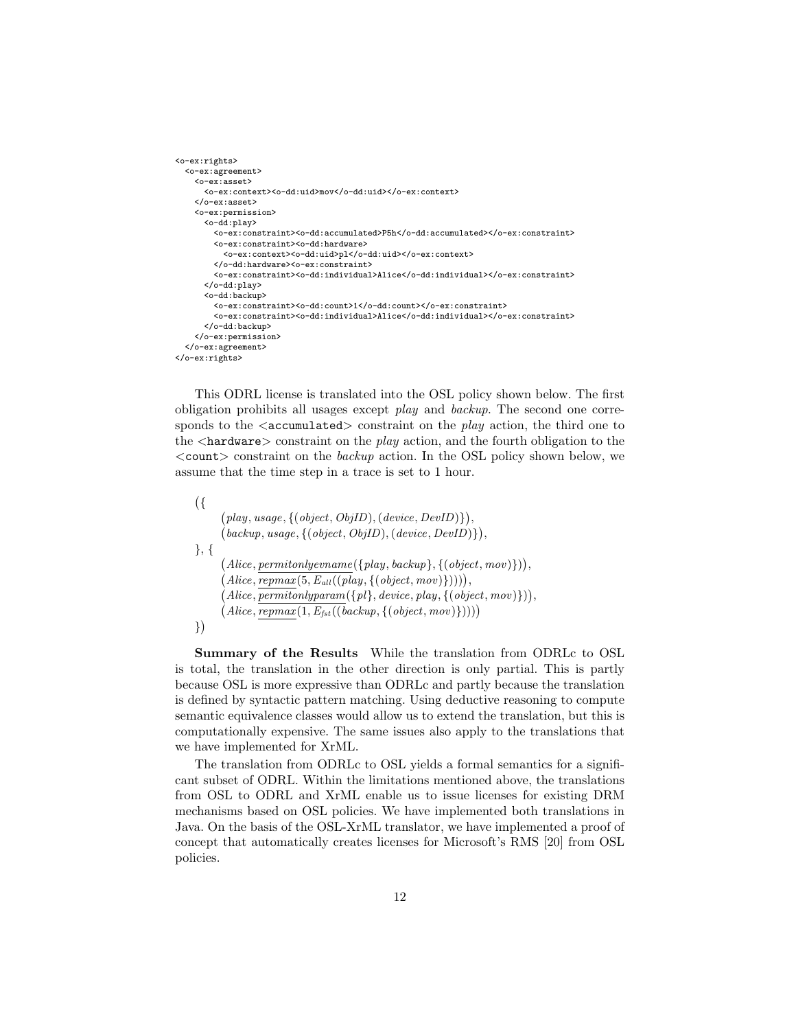```
<o-ex:rights>
  <o-ex:agreement>
    <o-ex:asset>
      <o-ex:context><o-dd:uid>mov</o-dd:uid></o-ex:context>
    </o-ex:asset>
    <o-ex:permission>
      <o-dd:play>
        <o-ex:constraint><o-dd:accumulated>P5h</o-dd:accumulated></o-ex:constraint>
        <o-ex:constraint><o-dd:hardware>
          <o-ex:context><o-dd:uid>pl</o-dd:uid></o-ex:context>
        </o-dd:hardware><o-ex:constraint>
        <o-ex:constraint><o-dd:individual>Alice</o-dd:individual></o-ex:constraint>
      </o-dd:play>
      <o-dd:backup>
        <o-ex:constraint><o-dd:count>1</o-dd:count></o-ex:constraint>
        <o-ex:constraint><o-dd:individual>Alice</o-dd:individual></o-ex:constraint>
      </o-dd:backup>
    </o-ex:permission>
  </o-ex:agreement>
</o-ex:rights>
```
This ODRL license is translated into the OSL policy shown below. The first obligation prohibits all usages except play and backup. The second one corresponds to the  $\leq$  accumulated $\geq$  constraint on the play action, the third one to the  $\langle$ hardware $\rangle$  constraint on the play action, and the fourth obligation to the  $\langle$  count  $\rangle$  constraint on the *backup* action. In the OSL policy shown below, we assume that the time step in a trace is set to 1 hour.

```
\left( \{ \right\}(\text{play, usage}, \{(\text{object}, \text{ObjID}), (\text{device}, \text{DevID})\}),(backup, usage, \{(object, ObjID), (device, DevID)\}),}, {
       (Alice, permit only evname({\{play, backup\}, \{(object, mov)\})}),(Alice, \text{repmax}(5, E_{all}((\text{play}, \{(object, mov)\})))(Alice, permitonly param({pl}, device, play, {(object, mov)})),(Alice, \text{repmax}(1, E_{fst}((\text{backward}, \{(object, mov)\})))})
```
Summary of the Results While the translation from ODRLc to OSL is total, the translation in the other direction is only partial. This is partly because OSL is more expressive than ODRLc and partly because the translation is defined by syntactic pattern matching. Using deductive reasoning to compute semantic equivalence classes would allow us to extend the translation, but this is computationally expensive. The same issues also apply to the translations that we have implemented for XrML.

The translation from ODRLc to OSL yields a formal semantics for a significant subset of ODRL. Within the limitations mentioned above, the translations from OSL to ODRL and XrML enable us to issue licenses for existing DRM mechanisms based on OSL policies. We have implemented both translations in Java. On the basis of the OSL-XrML translator, we have implemented a proof of concept that automatically creates licenses for Microsoft's RMS [20] from OSL policies.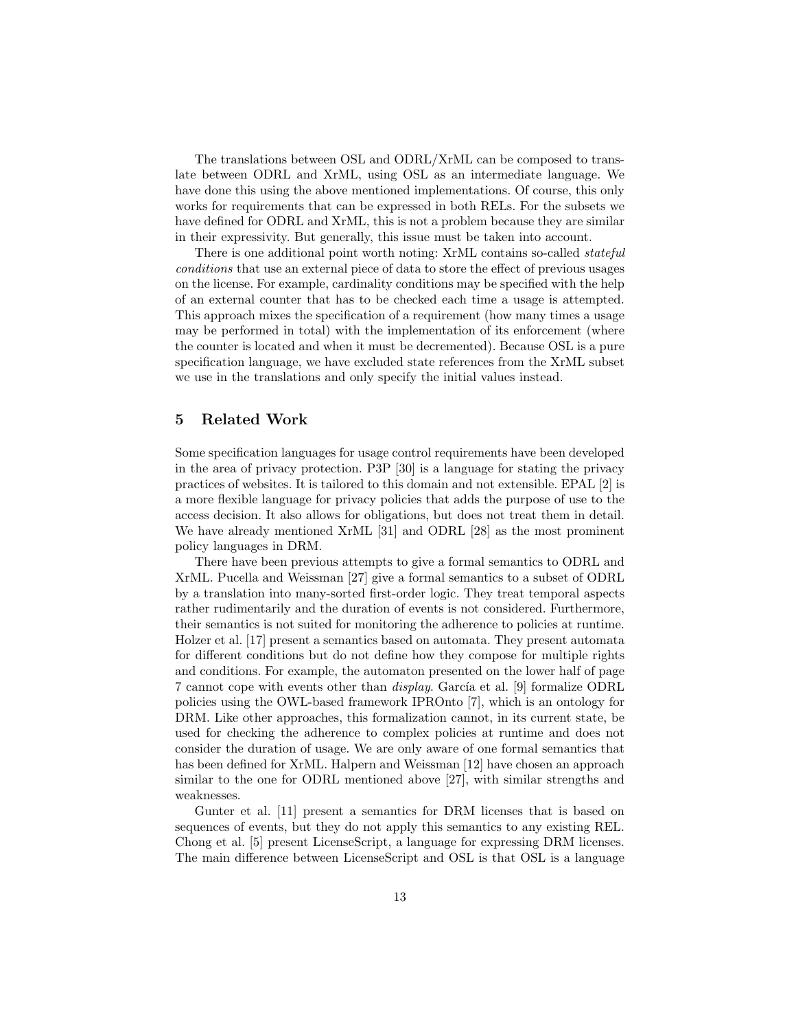The translations between OSL and ODRL/XrML can be composed to translate between ODRL and XrML, using OSL as an intermediate language. We have done this using the above mentioned implementations. Of course, this only works for requirements that can be expressed in both RELs. For the subsets we have defined for ODRL and XrML, this is not a problem because they are similar in their expressivity. But generally, this issue must be taken into account.

There is one additional point worth noting: XrML contains so-called *stateful* conditions that use an external piece of data to store the effect of previous usages on the license. For example, cardinality conditions may be specified with the help of an external counter that has to be checked each time a usage is attempted. This approach mixes the specification of a requirement (how many times a usage may be performed in total) with the implementation of its enforcement (where the counter is located and when it must be decremented). Because OSL is a pure specification language, we have excluded state references from the XrML subset we use in the translations and only specify the initial values instead.

# 5 Related Work

Some specification languages for usage control requirements have been developed in the area of privacy protection. P3P [30] is a language for stating the privacy practices of websites. It is tailored to this domain and not extensible. EPAL [2] is a more flexible language for privacy policies that adds the purpose of use to the access decision. It also allows for obligations, but does not treat them in detail. We have already mentioned XrML [31] and ODRL [28] as the most prominent policy languages in DRM.

There have been previous attempts to give a formal semantics to ODRL and XrML. Pucella and Weissman [27] give a formal semantics to a subset of ODRL by a translation into many-sorted first-order logic. They treat temporal aspects rather rudimentarily and the duration of events is not considered. Furthermore, their semantics is not suited for monitoring the adherence to policies at runtime. Holzer et al. [17] present a semantics based on automata. They present automata for different conditions but do not define how they compose for multiple rights and conditions. For example, the automaton presented on the lower half of page 7 cannot cope with events other than *display*. García et al. [9] formalize ODRL policies using the OWL-based framework IPROnto [7], which is an ontology for DRM. Like other approaches, this formalization cannot, in its current state, be used for checking the adherence to complex policies at runtime and does not consider the duration of usage. We are only aware of one formal semantics that has been defined for XrML. Halpern and Weissman [12] have chosen an approach similar to the one for ODRL mentioned above [27], with similar strengths and weaknesses.

Gunter et al. [11] present a semantics for DRM licenses that is based on sequences of events, but they do not apply this semantics to any existing REL. Chong et al. [5] present LicenseScript, a language for expressing DRM licenses. The main difference between LicenseScript and OSL is that OSL is a language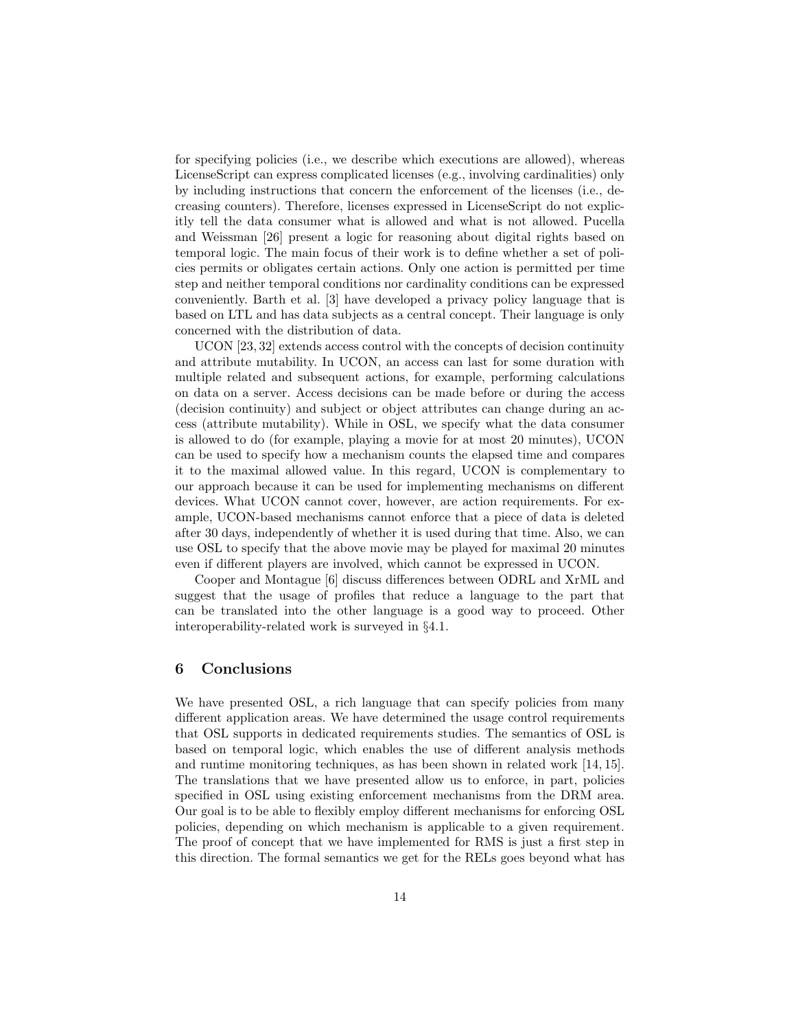for specifying policies (i.e., we describe which executions are allowed), whereas LicenseScript can express complicated licenses (e.g., involving cardinalities) only by including instructions that concern the enforcement of the licenses (i.e., decreasing counters). Therefore, licenses expressed in LicenseScript do not explicitly tell the data consumer what is allowed and what is not allowed. Pucella and Weissman [26] present a logic for reasoning about digital rights based on temporal logic. The main focus of their work is to define whether a set of policies permits or obligates certain actions. Only one action is permitted per time step and neither temporal conditions nor cardinality conditions can be expressed conveniently. Barth et al. [3] have developed a privacy policy language that is based on LTL and has data subjects as a central concept. Their language is only concerned with the distribution of data.

UCON [23, 32] extends access control with the concepts of decision continuity and attribute mutability. In UCON, an access can last for some duration with multiple related and subsequent actions, for example, performing calculations on data on a server. Access decisions can be made before or during the access (decision continuity) and subject or object attributes can change during an access (attribute mutability). While in OSL, we specify what the data consumer is allowed to do (for example, playing a movie for at most 20 minutes), UCON can be used to specify how a mechanism counts the elapsed time and compares it to the maximal allowed value. In this regard, UCON is complementary to our approach because it can be used for implementing mechanisms on different devices. What UCON cannot cover, however, are action requirements. For example, UCON-based mechanisms cannot enforce that a piece of data is deleted after 30 days, independently of whether it is used during that time. Also, we can use OSL to specify that the above movie may be played for maximal 20 minutes even if different players are involved, which cannot be expressed in UCON.

Cooper and Montague [6] discuss differences between ODRL and XrML and suggest that the usage of profiles that reduce a language to the part that can be translated into the other language is a good way to proceed. Other interoperability-related work is surveyed in §4.1.

## 6 Conclusions

We have presented OSL, a rich language that can specify policies from many different application areas. We have determined the usage control requirements that OSL supports in dedicated requirements studies. The semantics of OSL is based on temporal logic, which enables the use of different analysis methods and runtime monitoring techniques, as has been shown in related work [14, 15]. The translations that we have presented allow us to enforce, in part, policies specified in OSL using existing enforcement mechanisms from the DRM area. Our goal is to be able to flexibly employ different mechanisms for enforcing OSL policies, depending on which mechanism is applicable to a given requirement. The proof of concept that we have implemented for RMS is just a first step in this direction. The formal semantics we get for the RELs goes beyond what has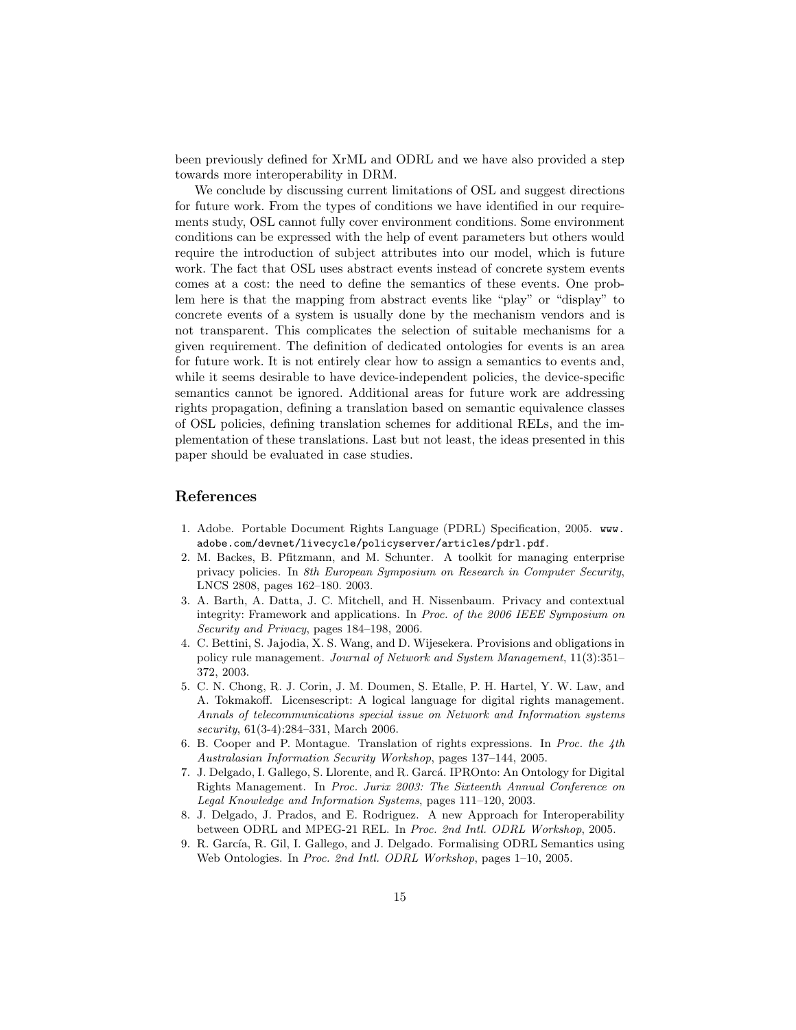been previously defined for XrML and ODRL and we have also provided a step towards more interoperability in DRM.

We conclude by discussing current limitations of OSL and suggest directions for future work. From the types of conditions we have identified in our requirements study, OSL cannot fully cover environment conditions. Some environment conditions can be expressed with the help of event parameters but others would require the introduction of subject attributes into our model, which is future work. The fact that OSL uses abstract events instead of concrete system events comes at a cost: the need to define the semantics of these events. One problem here is that the mapping from abstract events like "play" or "display" to concrete events of a system is usually done by the mechanism vendors and is not transparent. This complicates the selection of suitable mechanisms for a given requirement. The definition of dedicated ontologies for events is an area for future work. It is not entirely clear how to assign a semantics to events and, while it seems desirable to have device-independent policies, the device-specific semantics cannot be ignored. Additional areas for future work are addressing rights propagation, defining a translation based on semantic equivalence classes of OSL policies, defining translation schemes for additional RELs, and the implementation of these translations. Last but not least, the ideas presented in this paper should be evaluated in case studies.

# References

- 1. Adobe. Portable Document Rights Language (PDRL) Specification, 2005. www. adobe.com/devnet/livecycle/policyserver/articles/pdrl.pdf.
- 2. M. Backes, B. Pfitzmann, and M. Schunter. A toolkit for managing enterprise privacy policies. In 8th European Symposium on Research in Computer Security, LNCS 2808, pages 162–180. 2003.
- 3. A. Barth, A. Datta, J. C. Mitchell, and H. Nissenbaum. Privacy and contextual integrity: Framework and applications. In Proc. of the 2006 IEEE Symposium on Security and Privacy, pages 184–198, 2006.
- 4. C. Bettini, S. Jajodia, X. S. Wang, and D. Wijesekera. Provisions and obligations in policy rule management. Journal of Network and System Management, 11(3):351– 372, 2003.
- 5. C. N. Chong, R. J. Corin, J. M. Doumen, S. Etalle, P. H. Hartel, Y. W. Law, and A. Tokmakoff. Licensescript: A logical language for digital rights management. Annals of telecommunications special issue on Network and Information systems security, 61(3-4):284–331, March 2006.
- 6. B. Cooper and P. Montague. Translation of rights expressions. In Proc. the 4th Australasian Information Security Workshop, pages 137–144, 2005.
- 7. J. Delgado, I. Gallego, S. Llorente, and R. Garcá. IPROnto: An Ontology for Digital Rights Management. In Proc. Jurix 2003: The Sixteenth Annual Conference on Legal Knowledge and Information Systems, pages 111–120, 2003.
- 8. J. Delgado, J. Prados, and E. Rodriguez. A new Approach for Interoperability between ODRL and MPEG-21 REL. In Proc. 2nd Intl. ODRL Workshop, 2005.
- 9. R. García, R. Gil, I. Gallego, and J. Delgado. Formalising ODRL Semantics using Web Ontologies. In Proc. 2nd Intl. ODRL Workshop, pages 1-10, 2005.